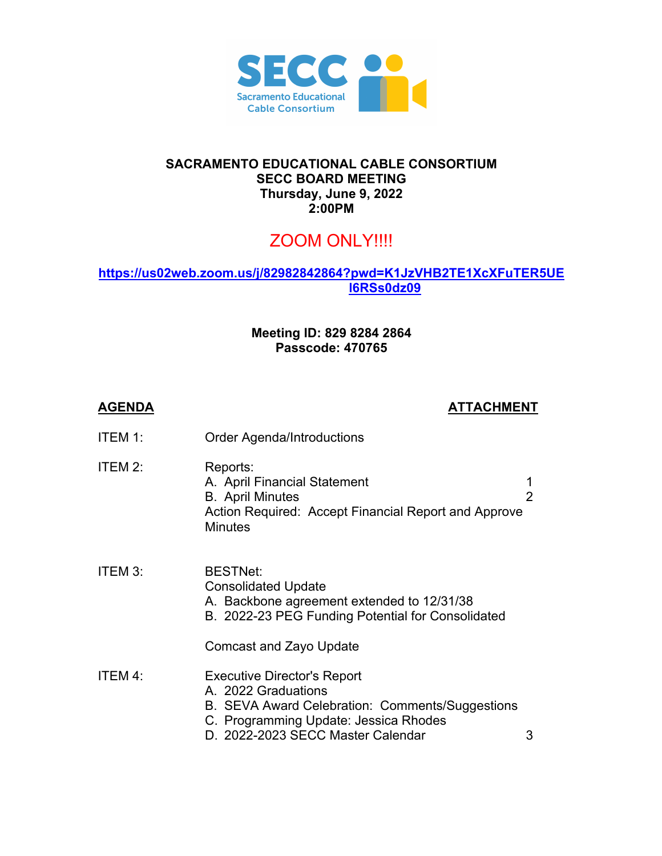

## **SACRAMENTO EDUCATIONAL CABLE CONSORTIUM SECC BOARD MEETING Thursday, June 9, 2022 2:00PM**

## ZOOM ONLY!!!!

## **https://us02web.zoom.us/j/82982842864?pwd=K1JzVHB2TE1XcXFuTER5UE l6RSs0dz09**

## **Meeting ID: 829 8284 2864 Passcode: 470765**

| <b>AGENDA</b> | <b>ATTACHMENT</b>                                                                                                                                                                          |                |
|---------------|--------------------------------------------------------------------------------------------------------------------------------------------------------------------------------------------|----------------|
| ITEM 1:       | <b>Order Agenda/Introductions</b>                                                                                                                                                          |                |
| ITEM 2:       | Reports:<br>A. April Financial Statement<br><b>B.</b> April Minutes<br>Action Required: Accept Financial Report and Approve<br><b>Minutes</b>                                              | $\overline{2}$ |
| ITEM 3:       | <b>BESTNet:</b><br><b>Consolidated Update</b><br>A. Backbone agreement extended to 12/31/38<br>B. 2022-23 PEG Funding Potential for Consolidated                                           |                |
|               | Comcast and Zayo Update                                                                                                                                                                    |                |
| ITEM 4:       | <b>Executive Director's Report</b><br>A. 2022 Graduations<br>B. SEVA Award Celebration: Comments/Suggestions<br>C. Programming Update: Jessica Rhodes<br>D. 2022-2023 SECC Master Calendar | 3              |